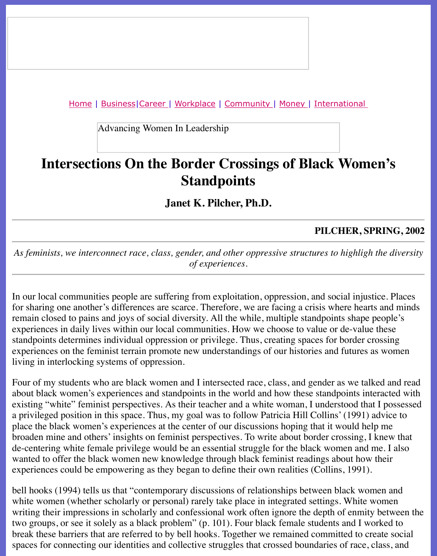Advancing Women In Leadership

# **Intersections On the Border Crossings of Black Wom [Stand](file:///workplace.html)[points](file:///ub/UltraBoard.cgi)**

**Janet K. Pilcher, Ph.D.**

#### **PILCHER, SI**

As feminists, we interconnect race, class, gender, and other oppressive structures to highligh *of experiences.*

In our local communities people are suffering from exploitation, oppression, and social injustice. for sharing one another's differences are scarce. Therefore, we are facing a crisis where hear remain closed to pains and joys of social diversity. All the while, multiple standpoints shape experiences in daily lives within our local communities. How we choose to value or de-value standpoints determines individual oppression or privilege. Thus, creating spaces for border c experiences on the feminist terrain promote new understandings of our histories and futures living in interlocking systems of oppression.

Four of my students who are black women and I intersected race, class, and gender as we tal about black women's experiences and standpoints in the world and how these standpoints in existing "white" feminist perspectives. As their teacher and a white woman, I understood that a privileged position in this space. Thus, my goal was to follow Patricia Hill Collins' (1991) place the black women's experiences at the center of our discussions hoping that it would he broaden mine and others' insights on feminist perspectives. To write about border crossing, I de-centering white female privilege would be an essential struggle for the black women and wanted to offer the black women new knowledge through black feminist readings about how experiences could be empowering as they began to define their own realities (Collins, 1991).

bell hooks (1994) tells us that "contemporary discussions of relationships between black wor white women (whether scholarly or personal) rarely take place in integrated settings. White w writing their impressions in scholarly and confessional work often ignore the depth of enmity two groups, or see it solely as a black problem" (p. 101). Four black female students and I w break these barriers that are referred to by bell hooks. Together we remained committed to cr spaces for connecting our identities and collective struggles that crossed boundaries of race,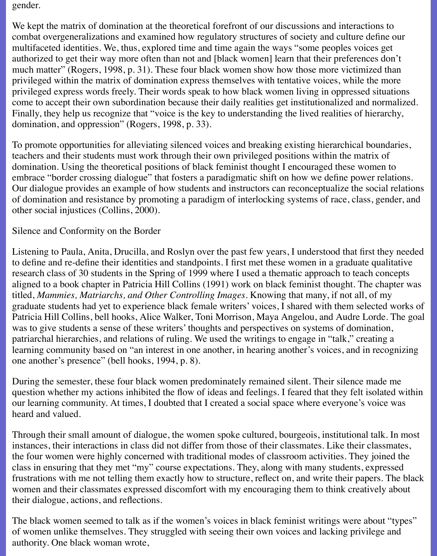gender.

We kept the matrix of domination at the theoretical forefront of our discussions and interactions to combat overgeneralizations and examined how regulatory structures of society and culture define our multifaceted identities. We, thus, explored time and time again the ways "some peoples voices get authorized to get their way more often than not and [black women] learn that their preferences don't much matter" (Rogers, 1998, p. 31). These four black women show how those more victimized than privileged within the matrix of domination express themselves with tentative voices, while the more privileged express words freely. Their words speak to how black women living in oppressed situations come to accept their own subordination because their daily realities get institutionalized and normalized. Finally, they help us recognize that "voice is the key to understanding the lived realities of hierarchy, domination, and oppression" (Rogers, 1998, p. 33).

To promote opportunities for alleviating silenced voices and breaking existing hierarchical boundaries, teachers and their students must work through their own privileged positions within the matrix of domination. Using the theoretical positions of black feminist thought I encouraged these women to embrace "border crossing dialogue" that fosters a paradigmatic shift on how we define power relations. Our dialogue provides an example of how students and instructors can reconceptualize the social relations of domination and resistance by promoting a paradigm of interlocking systems of race, class, gender, and other social injustices (Collins, 2000).

Silence and Conformity on the Border

Listening to Paula, Anita, Drucilla, and Roslyn over the past few years, I understood that first they needed to define and re-define their identities and standpoints. I first met these women in a graduate qualitative research class of 30 students in the Spring of 1999 where I used a thematic approach to teach concepts aligned to a book chapter in Patricia Hill Collins (1991) work on black feminist thought. The chapter was titled, *Mammies, Matriarchs, and Other Controlling Images*. Knowing that many, if not all, of my graduate students had yet to experience black female writers' voices, I shared with them selected works of Patricia Hill Collins, bell hooks, Alice Walker, Toni Morrison, Maya Angelou, and Audre Lorde. The goal was to give students a sense of these writers' thoughts and perspectives on systems of domination, patriarchal hierarchies, and relations of ruling. We used the writings to engage in "talk," creating a learning community based on "an interest in one another, in hearing another's voices, and in recognizing one another's presence" (bell hooks, 1994, p. 8).

During the semester, these four black women predominately remained silent. Their silence made me question whether my actions inhibited the flow of ideas and feelings. I feared that they felt isolated within our learning community. At times, I doubted that I created a social space where everyone's voice was heard and valued.

Through their small amount of dialogue, the women spoke cultured, bourgeois, institutional talk. In most instances, their interactions in class did not differ from those of their classmates. Like their classmates, the four women were highly concerned with traditional modes of classroom activities. They joined the class in ensuring that they met "my" course expectations. They, along with many students, expressed frustrations with me not telling them exactly how to structure, reflect on, and write their papers. The black women and their classmates expressed discomfort with my encouraging them to think creatively about their dialogue, actions, and reflections.

The black women seemed to talk as if the women's voices in black feminist writings were about "types" of women unlike themselves. They struggled with seeing their own voices and lacking privilege and authority. One black woman wrote,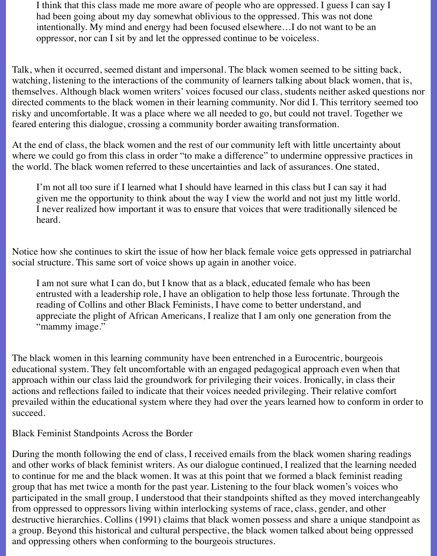I think that this class made me more aware of people who are oppressed. I guess I can say I had been going about my day somewhat oblivious to the oppressed. This was not done intentionally. My mind and energy had been focused elsewhere…I do not want to be an oppressor, nor can I sit by and let the oppressed continue to be voiceless.

Talk, when it occurred, seemed distant and impersonal. The black women seemed to be sitting back, watching, listening to the interactions of the community of learners talking about black women, that is, themselves. Although black women writers' voices focused our class, students neither asked questions nor directed comments to the black women in their learning community. Nor did I. This territory seemed too risky and uncomfortable. It was a place where we all needed to go, but could not travel. Together we feared entering this dialogue, crossing a community border awaiting transformation.

At the end of class, the black women and the rest of our community left with little uncertainty about where we could go from this class in order "to make a difference" to undermine oppressive practices in the world. The black women referred to these uncertainties and lack of assurances. One stated,

I'm not all too sure if I learned what I should have learned in this class but I can say it had given me the opportunity to think about the way I view the world and not just my little world. I never realized how important it was to ensure that voices that were traditionally silenced be heard.

Notice how she continues to skirt the issue of how her black female voice gets oppressed in patriarchal social structure. This same sort of voice shows up again in another voice.

I am not sure what I can do, but I know that as a black, educated female who has been entrusted with a leadership role, I have an obligation to help those less fortunate. Through the reading of Collins and other Black Feminists, I have come to better understand, and appreciate the plight of African Americans, I realize that I am only one generation from the "mammy image."

The black women in this learning community have been entrenched in a Eurocentric, bourgeois educational system. They felt uncomfortable with an engaged pedagogical approach even when that approach within our class laid the groundwork for privileging their voices. Ironically, in class their actions and reflections failed to indicate that their voices needed privileging. Their relative comfort prevailed within the educational system where they had over the years learned how to conform in order to succeed.

Black Feminist Standpoints Across the Border

During the month following the end of class, I received emails from the black women sharing readings and other works of black feminist writers. As our dialogue continued, I realized that the learning needed to continue for me and the black women. It was at this point that we formed a black feminist reading group that has met twice a month for the past year. Listening to the four black women's voices who participated in the small group, I understood that their standpoints shifted as they moved interchangeably from oppressed to oppressors living within interlocking systems of race, class, gender, and other destructive hierarchies. Collins (1991) claims that black women possess and share a unique standpoint as a group. Beyond this historical and cultural perspective, the black women talked about being oppressed and oppressing others when conforming to the bourgeois structures.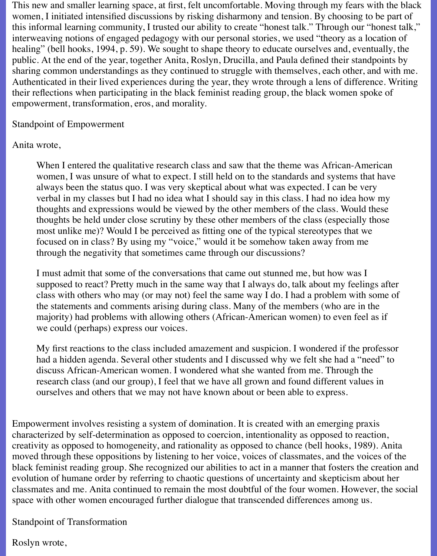This new and smaller learning space, at first, felt uncomfortable. Moving through my fears with the black women, I initiated intensified discussions by risking disharmony and tension. By choosing to be part of this informal learning community, I trusted our ability to create "honest talk." Through our "honest talk," interweaving notions of engaged pedagogy with our personal stories, we used "theory as a location of healing" (bell hooks, 1994, p. 59). We sought to shape theory to educate ourselves and, eventually, the public. At the end of the year, together Anita, Roslyn, Drucilla, and Paula defined their standpoints by sharing common understandings as they continued to struggle with themselves, each other, and with me. Authenticated in their lived experiences during the year, they wrote through a lens of difference. Writing their reflections when participating in the black feminist reading group, the black women spoke of empowerment, transformation, eros, and morality.

#### Standpoint of Empowerment

## Anita wrote,

When I entered the qualitative research class and saw that the theme was African-American women, I was unsure of what to expect. I still held on to the standards and systems that have always been the status quo. I was very skeptical about what was expected. I can be very verbal in my classes but I had no idea what I should say in this class. I had no idea how my thoughts and expressions would be viewed by the other members of the class. Would these thoughts be held under close scrutiny by these other members of the class (especially those most unlike me)? Would I be perceived as fitting one of the typical stereotypes that we focused on in class? By using my "voice," would it be somehow taken away from me through the negativity that sometimes came through our discussions?

I must admit that some of the conversations that came out stunned me, but how was I supposed to react? Pretty much in the same way that I always do, talk about my feelings after class with others who may (or may not) feel the same way I do. I had a problem with some of the statements and comments arising during class. Many of the members (who are in the majority) had problems with allowing others (African-American women) to even feel as if we could (perhaps) express our voices.

My first reactions to the class included amazement and suspicion. I wondered if the professor had a hidden agenda. Several other students and I discussed why we felt she had a "need" to discuss African-American women. I wondered what she wanted from me. Through the research class (and our group), I feel that we have all grown and found different values in ourselves and others that we may not have known about or been able to express.

Empowerment involves resisting a system of domination. It is created with an emerging praxis characterized by self-determination as opposed to coercion, intentionality as opposed to reaction, creativity as opposed to homogeneity, and rationality as opposed to chance (bell hooks, 1989). Anita moved through these oppositions by listening to her voice, voices of classmates, and the voices of the black feminist reading group. She recognized our abilities to act in a manner that fosters the creation and evolution of humane order by referring to chaotic questions of uncertainty and skepticism about her classmates and me. Anita continued to remain the most doubtful of the four women. However, the social space with other women encouraged further dialogue that transcended differences among us.

## Standpoint of Transformation

## Roslyn wrote,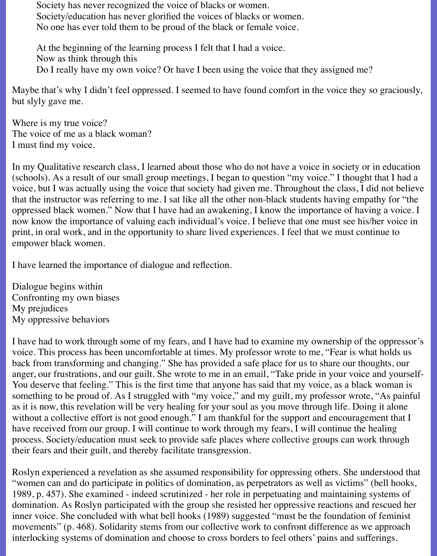Society has never recognized the voice of blacks or women. Society/education has never glorified the voices of blacks or women. No one has ever told them to be proud of the black or female voice.

At the beginning of the learning process I felt that I had a voice. Now as think through this Do I really have my own voice? Or have I been using the voice that they assigned me?

Maybe that's why I didn't feel oppressed. I seemed to have found comfort in the voice they so graciously, but slyly gave me.

Where is my true voice? The voice of me as a black woman? I must find my voice.

In my Qualitative research class, I learned about those who do not have a voice in society or in education (schools). As a result of our small group meetings, I began to question "my voice." I thought that I had a voice, but I was actually using the voice that society had given me. Throughout the class, I did not believe that the instructor was referring to me. I sat like all the other non-black students having empathy for "the oppressed black women." Now that I have had an awakening, I know the importance of having a voice. I now know the importance of valuing each individual's voice. I believe that one must see his/her voice in print, in oral work, and in the opportunity to share lived experiences. I feel that we must continue to empower black women.

I have learned the importance of dialogue and reflection.

Dialogue begins within Confronting my own biases My prejudices My oppressive behaviors

I have had to work through some of my fears, and I have had to examine my ownership of the oppressor's voice. This process has been uncomfortable at times. My professor wrote to me, "Fear is what holds us back from transforming and changing." She has provided a safe place for us to share our thoughts, our anger, our frustrations, and our guilt. She wrote to me in an email, "Take pride in your voice and yourself-You deserve that feeling." This is the first time that anyone has said that my voice, as a black woman is something to be proud of. As I struggled with "my voice," and my guilt, my professor wrote, "As painful as it is now, this revelation will be very healing for your soul as you move through life. Doing it alone without a collective effort is not good enough." I am thankful for the support and encouragement that I have received from our group. I will continue to work through my fears, I will continue the healing process. Society/education must seek to provide safe places where collective groups can work through their fears and their guilt, and thereby facilitate transgression.

Roslyn experienced a revelation as she assumed responsibility for oppressing others. She understood that "women can and do participate in politics of domination, as perpetrators as well as victims" (bell hooks, 1989, p. 457). She examined - indeed scrutinized - her role in perpetuating and maintaining systems of domination. As Roslyn participated with the group she resisted her oppressive reactions and rescued her inner voice. She concluded with what bell hooks (1989) suggested "must be the foundation of feminist movements" (p. 468). Solidarity stems from our collective work to confront difference as we approach interlocking systems of domination and choose to cross borders to feel others' pains and sufferings.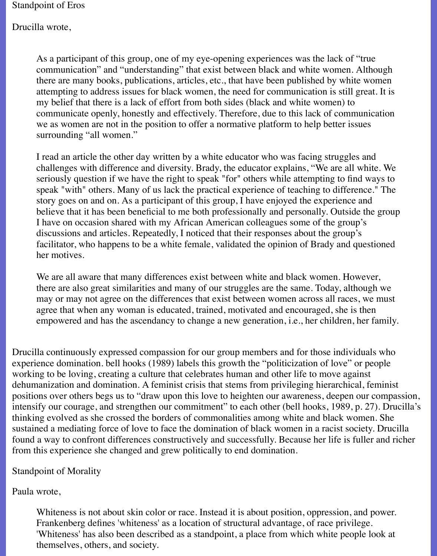Standpoint of Eros

Drucilla wrote,

As a participant of this group, one of my eye-opening experiences was the lack of "true communication" and "understanding" that exist between black and white women. Although there are many books, publications, articles, etc., that have been published by white women attempting to address issues for black women, the need for communication is still great. It is my belief that there is a lack of effort from both sides (black and white women) to communicate openly, honestly and effectively. Therefore, due to this lack of communication we as women are not in the position to offer a normative platform to help better issues surrounding "all women."

I read an article the other day written by a white educator who was facing struggles and challenges with difference and diversity. Brady, the educator explains, "We are all white. We seriously question if we have the right to speak "for" others while attempting to find ways to speak "with" others. Many of us lack the practical experience of teaching to difference." The story goes on and on. As a participant of this group, I have enjoyed the experience and believe that it has been beneficial to me both professionally and personally. Outside the group I have on occasion shared with my African American colleagues some of the group's discussions and articles. Repeatedly, I noticed that their responses about the group's facilitator, who happens to be a white female, validated the opinion of Brady and questioned her motives.

We are all aware that many differences exist between white and black women. However, there are also great similarities and many of our struggles are the same. Today, although we may or may not agree on the differences that exist between women across all races, we must agree that when any woman is educated, trained, motivated and encouraged, she is then empowered and has the ascendancy to change a new generation, i.e., her children, her family.

Drucilla continuously expressed compassion for our group members and for those individuals who experience domination. bell hooks (1989) labels this growth the "politicization of love" or people working to be loving, creating a culture that celebrates human and other life to move against dehumanization and domination. A feminist crisis that stems from privileging hierarchical, feminist positions over others begs us to "draw upon this love to heighten our awareness, deepen our compassion, intensify our courage, and strengthen our commitment" to each other (bell hooks, 1989, p. 27). Drucilla's thinking evolved as she crossed the borders of commonalities among white and black women. She sustained a mediating force of love to face the domination of black women in a racist society. Drucilla found a way to confront differences constructively and successfully. Because her life is fuller and richer from this experience she changed and grew politically to end domination.

Standpoint of Morality

Paula wrote,

Whiteness is not about skin color or race. Instead it is about position, oppression, and power. Frankenberg defines 'whiteness' as a location of structural advantage, of race privilege. 'Whiteness' has also been described as a standpoint, a place from which white people look at themselves, others, and society.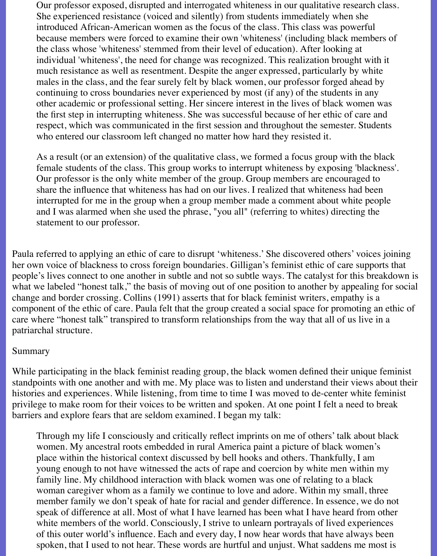Our professor exposed, disrupted and interrogated whiteness in our qualitative research class. She experienced resistance (voiced and silently) from students immediately when she introduced African-American women as the focus of the class. This class was powerful because members were forced to examine their own 'whiteness' (including black members of the class whose 'whiteness' stemmed from their level of education). After looking at individual 'whiteness', the need for change was recognized. This realization brought with it much resistance as well as resentment. Despite the anger expressed, particularly by white males in the class, and the fear surely felt by black women, our professor forged ahead by continuing to cross boundaries never experienced by most (if any) of the students in any other academic or professional setting. Her sincere interest in the lives of black women was the first step in interrupting whiteness. She was successful because of her ethic of care and respect, which was communicated in the first session and throughout the semester. Students who entered our classroom left changed no matter how hard they resisted it.

As a result (or an extension) of the qualitative class, we formed a focus group with the black female students of the class. This group works to interrupt whiteness by exposing 'blackness'. Our professor is the only white member of the group. Group members are encouraged to share the influence that whiteness has had on our lives. I realized that whiteness had been interrupted for me in the group when a group member made a comment about white people and I was alarmed when she used the phrase, "you all" (referring to whites) directing the statement to our professor.

Paula referred to applying an ethic of care to disrupt 'whiteness.' She discovered others' voices joining her own voice of blackness to cross foreign boundaries. Gilligan's feminist ethic of care supports that people's lives connect to one another in subtle and not so subtle ways. The catalyst for this breakdown is what we labeled "honest talk," the basis of moving out of one position to another by appealing for social change and border crossing. Collins (1991) asserts that for black feminist writers, empathy is a component of the ethic of care. Paula felt that the group created a social space for promoting an ethic of care where "honest talk" transpired to transform relationships from the way that all of us live in a patriarchal structure.

#### Summary

While participating in the black feminist reading group, the black women defined their unique feminist standpoints with one another and with me. My place was to listen and understand their views about their histories and experiences. While listening, from time to time I was moved to de-center white feminist privilege to make room for their voices to be written and spoken. At one point I felt a need to break barriers and explore fears that are seldom examined. I began my talk:

Through my life I consciously and critically reflect imprints on me of others' talk about black women. My ancestral roots embedded in rural America paint a picture of black women's place within the historical context discussed by bell hooks and others. Thankfully, I am young enough to not have witnessed the acts of rape and coercion by white men within my family line. My childhood interaction with black women was one of relating to a black woman caregiver whom as a family we continue to love and adore. Within my small, three member family we don't speak of hate for racial and gender difference. In essence, we do not speak of difference at all. Most of what I have learned has been what I have heard from other white members of the world. Consciously, I strive to unlearn portrayals of lived experiences of this outer world's influence. Each and every day, I now hear words that have always been spoken, that I used to not hear. These words are hurtful and unjust. What saddens me most is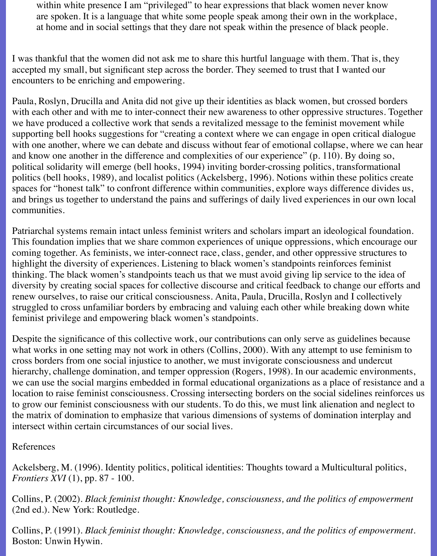within white presence I am "privileged" to hear expressions that black women never know are spoken. It is a language that white some people speak among their own in the workplace, at home and in social settings that they dare not speak within the presence of black people.

I was thankful that the women did not ask me to share this hurtful language with them. That is, they accepted my small, but significant step across the border. They seemed to trust that I wanted our encounters to be enriching and empowering.

Paula, Roslyn, Drucilla and Anita did not give up their identities as black women, but crossed borders with each other and with me to inter-connect their new awareness to other oppressive structures. Together we have produced a collective work that sends a revitalized message to the feminist movement while supporting bell hooks suggestions for "creating a context where we can engage in open critical dialogue with one another, where we can debate and discuss without fear of emotional collapse, where we can hear and know one another in the difference and complexities of our experience" (p. 110). By doing so, political solidarity will emerge (bell hooks, 1994) inviting border-crossing politics, transformational politics (bell hooks, 1989), and localist politics (Ackelsberg, 1996). Notions within these politics create spaces for "honest talk" to confront difference within communities, explore ways difference divides us, and brings us together to understand the pains and sufferings of daily lived experiences in our own local communities.

Patriarchal systems remain intact unless feminist writers and scholars impart an ideological foundation. This foundation implies that we share common experiences of unique oppressions, which encourage our coming together. As feminists, we inter-connect race, class, gender, and other oppressive structures to highlight the diversity of experiences. Listening to black women's standpoints reinforces feminist thinking. The black women's standpoints teach us that we must avoid giving lip service to the idea of diversity by creating social spaces for collective discourse and critical feedback to change our efforts and renew ourselves, to raise our critical consciousness. Anita, Paula, Drucilla, Roslyn and I collectively struggled to cross unfamiliar borders by embracing and valuing each other while breaking down white feminist privilege and empowering black women's standpoints.

Despite the significance of this collective work, our contributions can only serve as guidelines because what works in one setting may not work in others (Collins, 2000). With any attempt to use feminism to cross borders from one social injustice to another, we must invigorate consciousness and undercut hierarchy, challenge domination, and temper oppression (Rogers, 1998). In our academic environments, we can use the social margins embedded in formal educational organizations as a place of resistance and a location to raise feminist consciousness. Crossing intersecting borders on the social sidelines reinforces us to grow our feminist consciousness with our students. To do this, we must link alienation and neglect to the matrix of domination to emphasize that various dimensions of systems of domination interplay and intersect within certain circumstances of our social lives.

References

Ackelsberg, M. (1996). Identity politics, political identities: Thoughts toward a Multicultural politics, *Frontiers XVI* (1), pp. 87 - 100.

Collins, P. (2002). *Black feminist thought: Knowledge, consciousness, and the politics of empowerment* (2nd ed.). New York: Routledge.

Collins, P. (1991). *Black feminist thought: Knowledge, consciousness, and the politics of empowerment.* Boston: Unwin Hywin.